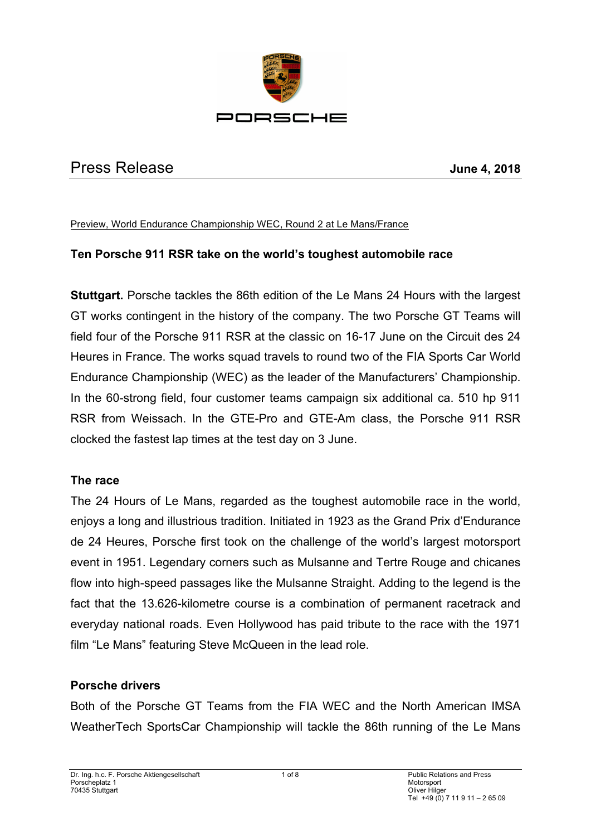

# Press Release **June 4, 2018**

Preview, World Endurance Championship WEC, Round 2 at Le Mans/France

# **Ten Porsche 911 RSR take on the world's toughest automobile race**

**Stuttgart.** Porsche tackles the 86th edition of the Le Mans 24 Hours with the largest GT works contingent in the history of the company. The two Porsche GT Teams will field four of the Porsche 911 RSR at the classic on 16-17 June on the Circuit des 24 Heures in France. The works squad travels to round two of the FIA Sports Car World Endurance Championship (WEC) as the leader of the Manufacturers' Championship. In the 60-strong field, four customer teams campaign six additional ca. 510 hp 911 RSR from Weissach. In the GTE-Pro and GTE-Am class, the Porsche 911 RSR clocked the fastest lap times at the test day on 3 June.

## **The race**

The 24 Hours of Le Mans, regarded as the toughest automobile race in the world, enjoys a long and illustrious tradition. Initiated in 1923 as the Grand Prix d'Endurance de 24 Heures, Porsche first took on the challenge of the world's largest motorsport event in 1951. Legendary corners such as Mulsanne and Tertre Rouge and chicanes flow into high-speed passages like the Mulsanne Straight. Adding to the legend is the fact that the 13.626-kilometre course is a combination of permanent racetrack and everyday national roads. Even Hollywood has paid tribute to the race with the 1971 film "Le Mans" featuring Steve McQueen in the lead role.

## **Porsche drivers**

Both of the Porsche GT Teams from the FIA WEC and the North American IMSA WeatherTech SportsCar Championship will tackle the 86th running of the Le Mans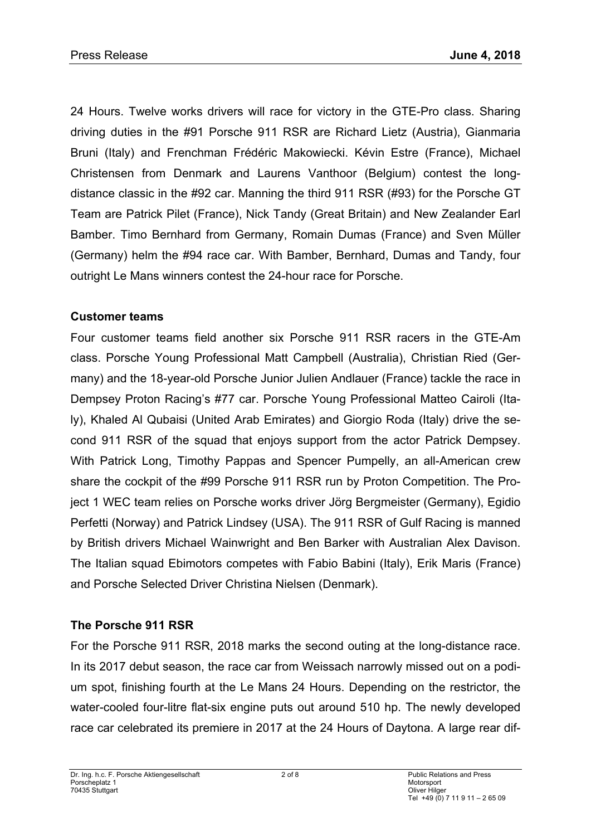24 Hours. Twelve works drivers will race for victory in the GTE-Pro class. Sharing driving duties in the #91 Porsche 911 RSR are Richard Lietz (Austria), Gianmaria Bruni (Italy) and Frenchman Frédéric Makowiecki. Kévin Estre (France), Michael Christensen from Denmark and Laurens Vanthoor (Belgium) contest the longdistance classic in the #92 car. Manning the third 911 RSR (#93) for the Porsche GT Team are Patrick Pilet (France), Nick Tandy (Great Britain) and New Zealander Earl Bamber. Timo Bernhard from Germany, Romain Dumas (France) and Sven Müller (Germany) helm the #94 race car. With Bamber, Bernhard, Dumas and Tandy, four outright Le Mans winners contest the 24-hour race for Porsche.

# **Customer teams**

Four customer teams field another six Porsche 911 RSR racers in the GTE-Am class. Porsche Young Professional Matt Campbell (Australia), Christian Ried (Germany) and the 18-year-old Porsche Junior Julien Andlauer (France) tackle the race in Dempsey Proton Racing's #77 car. Porsche Young Professional Matteo Cairoli (Italy), Khaled Al Qubaisi (United Arab Emirates) and Giorgio Roda (Italy) drive the second 911 RSR of the squad that enjoys support from the actor Patrick Dempsey. With Patrick Long, Timothy Pappas and Spencer Pumpelly, an all-American crew share the cockpit of the #99 Porsche 911 RSR run by Proton Competition. The Project 1 WEC team relies on Porsche works driver Jörg Bergmeister (Germany), Egidio Perfetti (Norway) and Patrick Lindsey (USA). The 911 RSR of Gulf Racing is manned by British drivers Michael Wainwright and Ben Barker with Australian Alex Davison. The Italian squad Ebimotors competes with Fabio Babini (Italy), Erik Maris (France) and Porsche Selected Driver Christina Nielsen (Denmark).

# **The Porsche 911 RSR**

For the Porsche 911 RSR, 2018 marks the second outing at the long-distance race. In its 2017 debut season, the race car from Weissach narrowly missed out on a podium spot, finishing fourth at the Le Mans 24 Hours. Depending on the restrictor, the water-cooled four-litre flat-six engine puts out around 510 hp. The newly developed race car celebrated its premiere in 2017 at the 24 Hours of Daytona. A large rear dif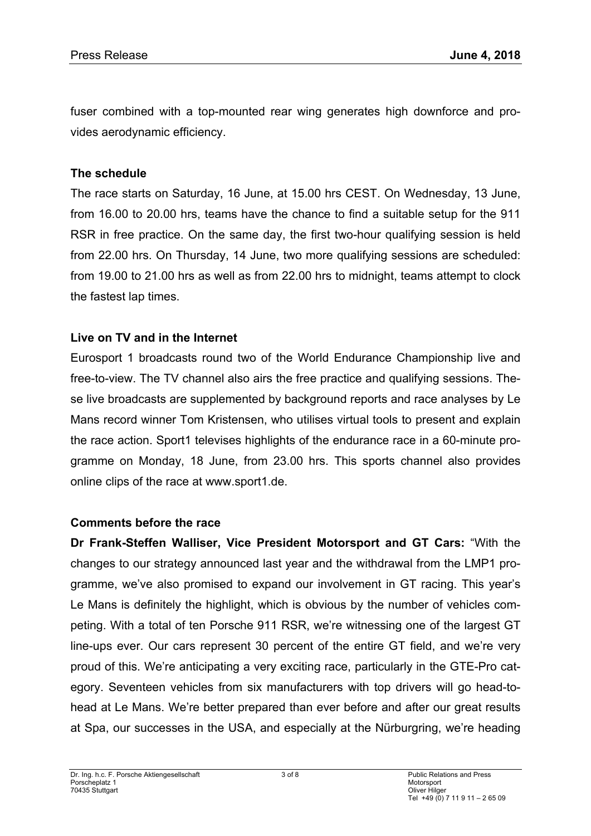fuser combined with a top-mounted rear wing generates high downforce and provides aerodynamic efficiency.

## **The schedule**

The race starts on Saturday, 16 June, at 15.00 hrs CEST. On Wednesday, 13 June, from 16.00 to 20.00 hrs, teams have the chance to find a suitable setup for the 911 RSR in free practice. On the same day, the first two-hour qualifying session is held from 22.00 hrs. On Thursday, 14 June, two more qualifying sessions are scheduled: from 19.00 to 21.00 hrs as well as from 22.00 hrs to midnight, teams attempt to clock the fastest lap times.

# **Live on TV and in the Internet**

Eurosport 1 broadcasts round two of the World Endurance Championship live and free-to-view. The TV channel also airs the free practice and qualifying sessions. These live broadcasts are supplemented by background reports and race analyses by Le Mans record winner Tom Kristensen, who utilises virtual tools to present and explain the race action. Sport1 televises highlights of the endurance race in a 60-minute programme on Monday, 18 June, from 23.00 hrs. This sports channel also provides online clips of the race at www.sport1.de.

## **Comments before the race**

**Dr Frank-Steffen Walliser, Vice President Motorsport and GT Cars:** "With the changes to our strategy announced last year and the withdrawal from the LMP1 programme, we've also promised to expand our involvement in GT racing. This year's Le Mans is definitely the highlight, which is obvious by the number of vehicles competing. With a total of ten Porsche 911 RSR, we're witnessing one of the largest GT line-ups ever. Our cars represent 30 percent of the entire GT field, and we're very proud of this. We're anticipating a very exciting race, particularly in the GTE-Pro category. Seventeen vehicles from six manufacturers with top drivers will go head-tohead at Le Mans. We're better prepared than ever before and after our great results at Spa, our successes in the USA, and especially at the Nürburgring, we're heading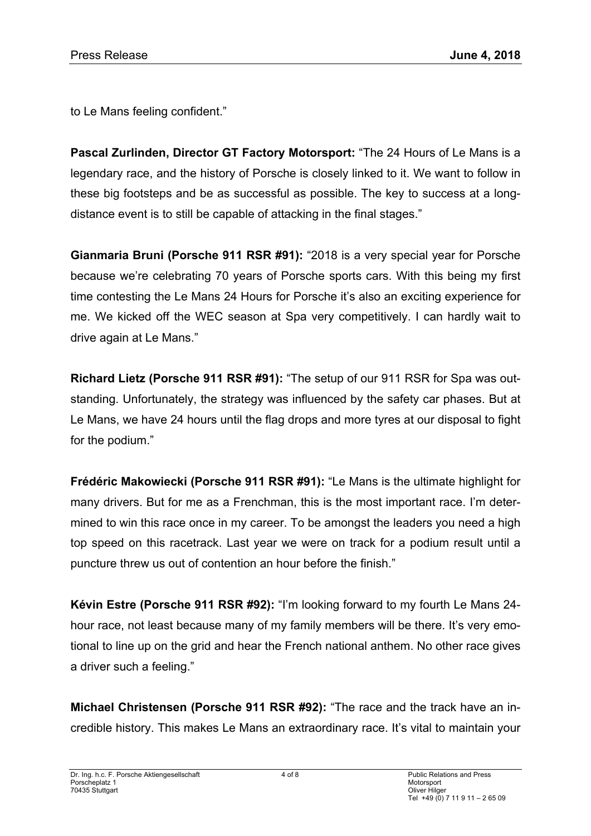to Le Mans feeling confident."

**Pascal Zurlinden, Director GT Factory Motorsport:** "The 24 Hours of Le Mans is a legendary race, and the history of Porsche is closely linked to it. We want to follow in these big footsteps and be as successful as possible. The key to success at a longdistance event is to still be capable of attacking in the final stages."

**Gianmaria Bruni (Porsche 911 RSR #91):** "2018 is a very special year for Porsche because we're celebrating 70 years of Porsche sports cars. With this being my first time contesting the Le Mans 24 Hours for Porsche it's also an exciting experience for me. We kicked off the WEC season at Spa very competitively. I can hardly wait to drive again at Le Mans."

**Richard Lietz (Porsche 911 RSR #91):** "The setup of our 911 RSR for Spa was outstanding. Unfortunately, the strategy was influenced by the safety car phases. But at Le Mans, we have 24 hours until the flag drops and more tyres at our disposal to fight for the podium."

**Frédéric Makowiecki (Porsche 911 RSR #91):** "Le Mans is the ultimate highlight for many drivers. But for me as a Frenchman, this is the most important race. I'm determined to win this race once in my career. To be amongst the leaders you need a high top speed on this racetrack. Last year we were on track for a podium result until a puncture threw us out of contention an hour before the finish."

**Kévin Estre (Porsche 911 RSR #92):** "I'm looking forward to my fourth Le Mans 24 hour race, not least because many of my family members will be there. It's very emotional to line up on the grid and hear the French national anthem. No other race gives a driver such a feeling."

**Michael Christensen (Porsche 911 RSR #92):** "The race and the track have an incredible history. This makes Le Mans an extraordinary race. It's vital to maintain your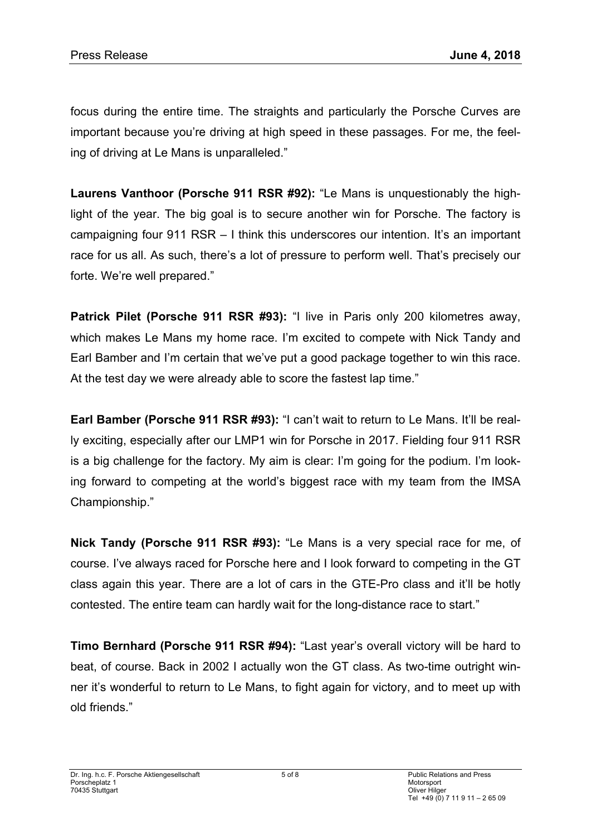focus during the entire time. The straights and particularly the Porsche Curves are important because you're driving at high speed in these passages. For me, the feeling of driving at Le Mans is unparalleled."

**Laurens Vanthoor (Porsche 911 RSR #92):** "Le Mans is unquestionably the highlight of the year. The big goal is to secure another win for Porsche. The factory is campaigning four 911 RSR – I think this underscores our intention. It's an important race for us all. As such, there's a lot of pressure to perform well. That's precisely our forte. We're well prepared."

Patrick Pilet (Porsche 911 RSR #93): "I live in Paris only 200 kilometres away, which makes Le Mans my home race. I'm excited to compete with Nick Tandy and Earl Bamber and I'm certain that we've put a good package together to win this race. At the test day we were already able to score the fastest lap time."

**Earl Bamber (Porsche 911 RSR #93):** "I can't wait to return to Le Mans. It'll be really exciting, especially after our LMP1 win for Porsche in 2017. Fielding four 911 RSR is a big challenge for the factory. My aim is clear: I'm going for the podium. I'm looking forward to competing at the world's biggest race with my team from the IMSA Championship."

**Nick Tandy (Porsche 911 RSR #93):** "Le Mans is a very special race for me, of course. I've always raced for Porsche here and I look forward to competing in the GT class again this year. There are a lot of cars in the GTE-Pro class and it'll be hotly contested. The entire team can hardly wait for the long-distance race to start."

**Timo Bernhard (Porsche 911 RSR #94):** "Last year's overall victory will be hard to beat, of course. Back in 2002 I actually won the GT class. As two-time outright winner it's wonderful to return to Le Mans, to fight again for victory, and to meet up with old friends."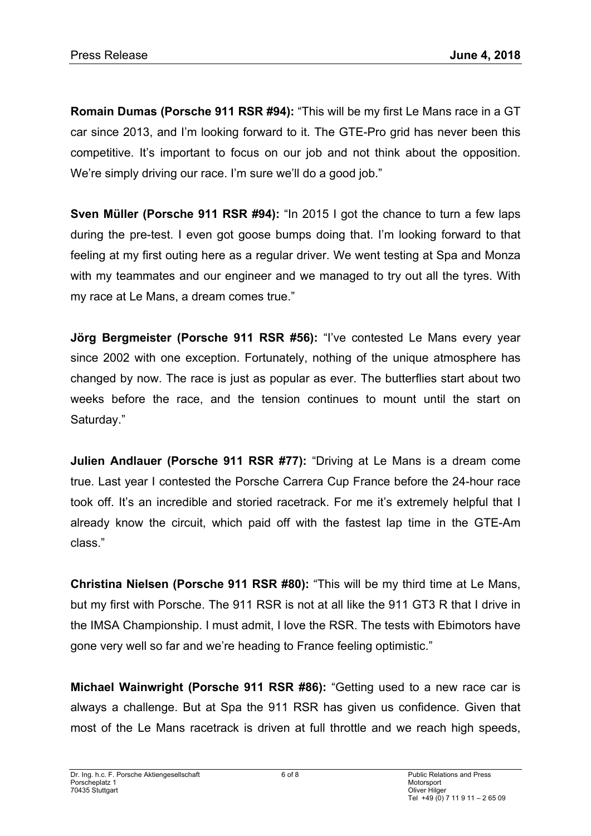**Romain Dumas (Porsche 911 RSR #94):** "This will be my first Le Mans race in a GT car since 2013, and I'm looking forward to it. The GTE-Pro grid has never been this competitive. It's important to focus on our job and not think about the opposition. We're simply driving our race. I'm sure we'll do a good job."

**Sven Müller (Porsche 911 RSR #94):** "In 2015 I got the chance to turn a few laps during the pre-test. I even got goose bumps doing that. I'm looking forward to that feeling at my first outing here as a regular driver. We went testing at Spa and Monza with my teammates and our engineer and we managed to try out all the tyres. With my race at Le Mans, a dream comes true."

**Jörg Bergmeister (Porsche 911 RSR #56):** "I've contested Le Mans every year since 2002 with one exception. Fortunately, nothing of the unique atmosphere has changed by now. The race is just as popular as ever. The butterflies start about two weeks before the race, and the tension continues to mount until the start on Saturday."

**Julien Andlauer (Porsche 911 RSR #77):** "Driving at Le Mans is a dream come true. Last year I contested the Porsche Carrera Cup France before the 24-hour race took off. It's an incredible and storied racetrack. For me it's extremely helpful that I already know the circuit, which paid off with the fastest lap time in the GTE-Am class."

**Christina Nielsen (Porsche 911 RSR #80):** "This will be my third time at Le Mans, but my first with Porsche. The 911 RSR is not at all like the 911 GT3 R that I drive in the IMSA Championship. I must admit, I love the RSR. The tests with Ebimotors have gone very well so far and we're heading to France feeling optimistic."

**Michael Wainwright (Porsche 911 RSR #86):** "Getting used to a new race car is always a challenge. But at Spa the 911 RSR has given us confidence. Given that most of the Le Mans racetrack is driven at full throttle and we reach high speeds,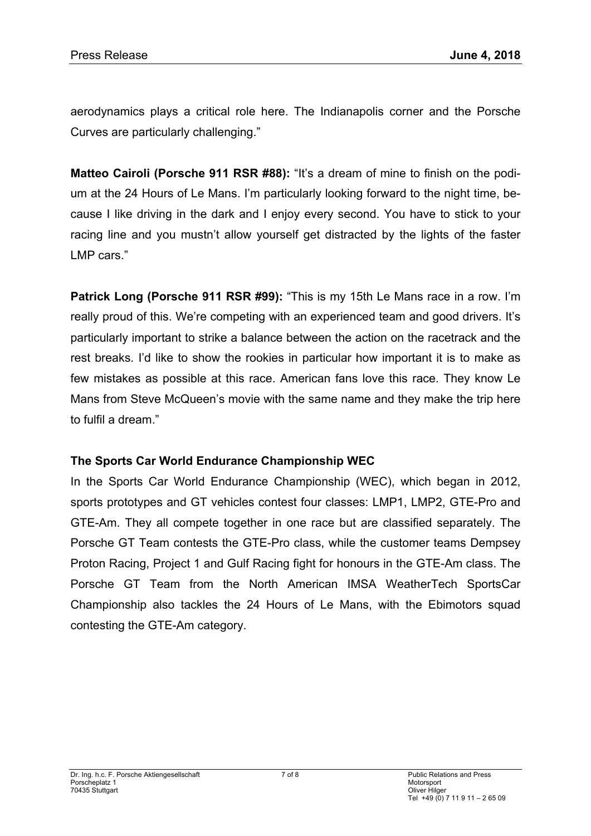aerodynamics plays a critical role here. The Indianapolis corner and the Porsche Curves are particularly challenging."

**Matteo Cairoli (Porsche 911 RSR #88):** "It's a dream of mine to finish on the podium at the 24 Hours of Le Mans. I'm particularly looking forward to the night time, because I like driving in the dark and I enjoy every second. You have to stick to your racing line and you mustn't allow yourself get distracted by the lights of the faster LMP cars."

**Patrick Long (Porsche 911 RSR #99):** "This is my 15th Le Mans race in a row. I'm really proud of this. We're competing with an experienced team and good drivers. It's particularly important to strike a balance between the action on the racetrack and the rest breaks. I'd like to show the rookies in particular how important it is to make as few mistakes as possible at this race. American fans love this race. They know Le Mans from Steve McQueen's movie with the same name and they make the trip here to fulfil a dream."

## **The Sports Car World Endurance Championship WEC**

In the Sports Car World Endurance Championship (WEC), which began in 2012, sports prototypes and GT vehicles contest four classes: LMP1, LMP2, GTE-Pro and GTE-Am. They all compete together in one race but are classified separately. The Porsche GT Team contests the GTE-Pro class, while the customer teams Dempsey Proton Racing, Project 1 and Gulf Racing fight for honours in the GTE-Am class. The Porsche GT Team from the North American IMSA WeatherTech SportsCar Championship also tackles the 24 Hours of Le Mans, with the Ebimotors squad contesting the GTE-Am category.